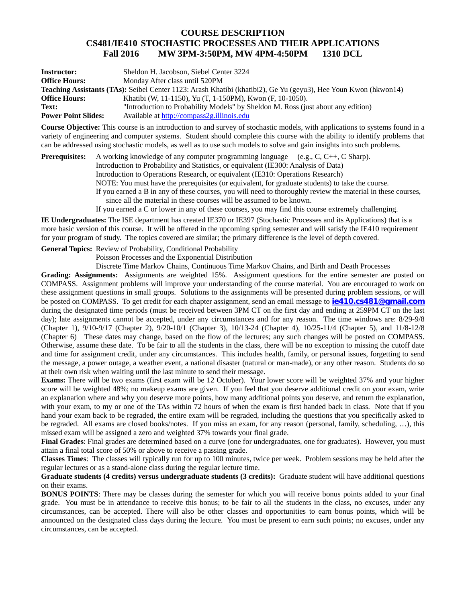## **COURSE DESCRIPTION CS481/IE410 STOCHASTIC PROCESSES AND THEIR APPLICATIONS Fall 2016 MW 3PM-3:50PM, MW 4PM-4:50PM 1310 DCL**

| <b>Instructor:</b>                                                                                              | Sheldon H. Jacobson, Siebel Center 3224                                          |
|-----------------------------------------------------------------------------------------------------------------|----------------------------------------------------------------------------------|
| <b>Office Hours:</b>                                                                                            | Monday After class until 520PM                                                   |
| Teaching Assistants (TAs): Seibel Center 1123: Arash Khatibi (khatibi2), Ge Yu (geyu3), Hee Youn Kwon (hkwon14) |                                                                                  |
| <b>Office Hours:</b>                                                                                            | Khatibi (W, 11-1150), Yu (T, 1-150PM), Kwon (F, 10-1050).                        |
| Text:                                                                                                           | "Introduction to Probability Models" by Sheldon M. Ross (just about any edition) |
| <b>Power Point Slides:</b>                                                                                      | Available at http://compass2g.illinois.edu                                       |

**Course Objective:** This course is an introduction to and survey of stochastic models, with applications to systems found in a variety of engineering and computer systems. Student should complete this course with the ability to identify problems that can be addressed using stochastic models, as well as to use such models to solve and gain insights into such problems.

**Prerequisites:** A working knowledge of any computer programming language (e.g., C, C++, C Sharp). Introduction to Probability and Statistics, or equivalent (IE300: Analysis of Data) Introduction to Operations Research, or equivalent (IE310: Operations Research) NOTE: You must have the prerequisites (or equivalent, for graduate students) to take the course. If you earned a B in any of these courses, you will need to thoroughly review the material in these courses, since all the material in these courses will be assumed to be known. If you earned a C or lower in any of these courses, you may find this course extremely challenging.

**IE Undergraduates:** The ISE department has created IE370 or IE397 (Stochastic Processes and its Applications) that is a more basic version of this course. It will be offered in the upcoming spring semester and will satisfy the IE410 requirement for your program of study. The topics covered are similar; the primary difference is the level of depth covered.

**General Topics:** Review of Probability, Conditional Probability

Poisson Processes and the Exponential Distribution

Discrete Time Markov Chains, Continuous Time Markov Chains, and Birth and Death Processes

**Grading: Assignments:** Assignments are weighted 15%. Assignment questions for the entire semester are posted on COMPASS. Assignment problems will improve your understanding of the course material. You are encouraged to work on these assignment questions in small groups. Solutions to the assignments will be presented during problem sessions, or will be posted on COMPASS. To get credit for each chapter assignment, send an email message to **ie410.cs481@gmail.com** during the designated time periods (must be received between 3PM CT on the first day and ending at 259PM CT on the last day); late assignments cannot be accepted, under any circumstances and for any reason. The time windows are: 8/29-9/8 (Chapter 1), 9/10-9/17 (Chapter 2), 9/20-10/1 (Chapter 3), 10/13-24 (Chapter 4), 10/25-11/4 (Chapter 5), and 11/8-12/8 (Chapter 6) These dates may change, based on the flow of the lectures; any such changes will be posted on COMPASS. Otherwise, assume these date. To be fair to all the students in the class, there will be no exception to missing the cutoff date and time for assignment credit, under any circumstances. This includes health, family, or personal issues, forgetting to send the message, a power outage, a weather event, a national disaster (natural or man-made), or any other reason. Students do so at their own risk when waiting until the last minute to send their message.

**Exams:** There will be two exams (first exam will be 12 October). Your lower score will be weighted 37% and your higher score will be weighted 48%; no makeup exams are given. If you feel that you deserve additional credit on your exam, write an explanation where and why you deserve more points, how many additional points you deserve, and return the explanation, with your exam, to my or one of the TAs within 72 hours of when the exam is first handed back in class. Note that if you hand your exam back to be regraded, the entire exam will be regraded, including the questions that you specifically asked to be regraded. All exams are closed books/notes. If you miss an exam, for any reason (personal, family, scheduling, …), this missed exam will be assigned a zero and weighted 37% towards your final grade.

**Final Grades**: Final grades are determined based on a curve (one for undergraduates, one for graduates). However, you must attain a final total score of 50% or above to receive a passing grade.

**Classes Times**: The classes will typically run for up to 100 minutes, twice per week. Problem sessions may be held after the regular lectures or as a stand-alone class during the regular lecture time.

**Graduate students (4 credits) versus undergraduate students (3 credits):** Graduate student will have additional questions on their exams.

**BONUS POINTS:** There may be classes during the semester for which you will receive bonus points added to your final grade. You must be in attendance to receive this bonus; to be fair to all the students in the class, no excuses, under any circumstances, can be accepted. There will also be other classes and opportunities to earn bonus points, which will be announced on the designated class days during the lecture. You must be present to earn such points; no excuses, under any circumstances, can be accepted.